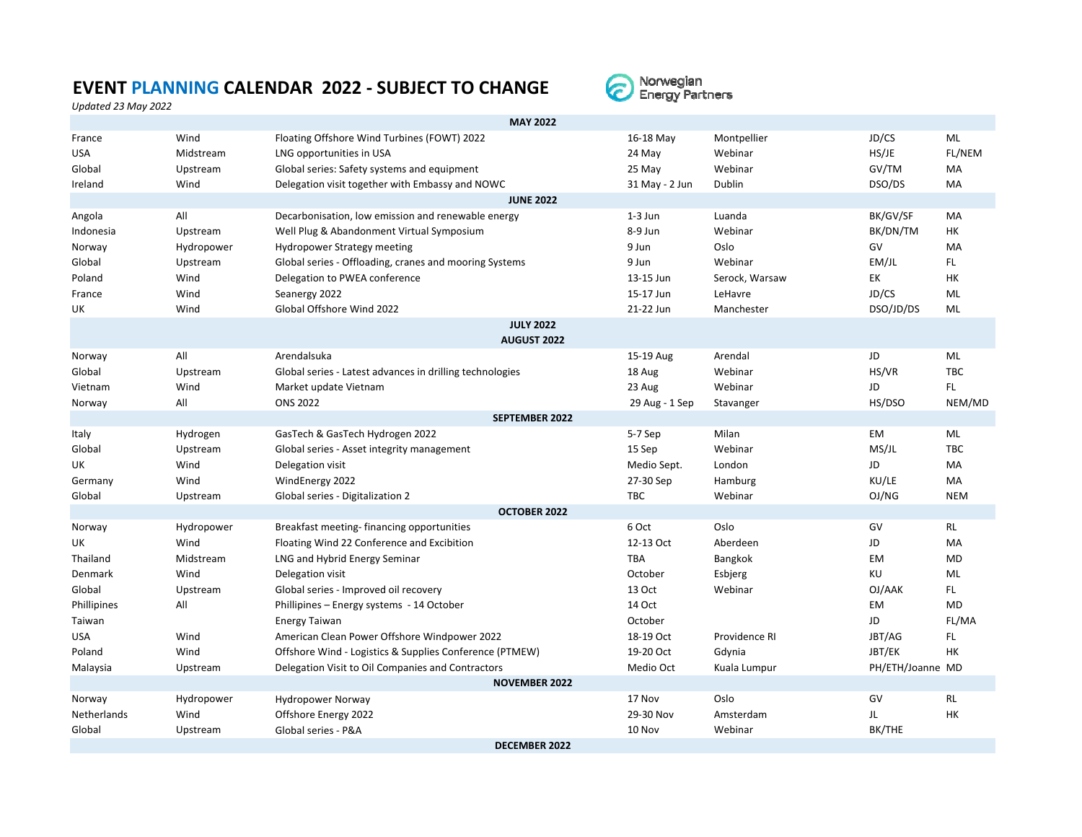## **EVENT PLANNING CALENDAR 2022 ‐ SUBJECT TO CHANGE**



*Updated 23 May 2022*

|                      | <b>MAY 2022</b> |                                                          |             |                |                |                  |            |  |  |
|----------------------|-----------------|----------------------------------------------------------|-------------|----------------|----------------|------------------|------------|--|--|
| France               | Wind            | Floating Offshore Wind Turbines (FOWT) 2022              | 16-18 May   |                | Montpellier    | JD/CS            | ML         |  |  |
| <b>USA</b>           | Midstream       | LNG opportunities in USA                                 | 24 May      |                | Webinar        | HS/JE            | FL/NEM     |  |  |
| Global               | Upstream        | Global series: Safety systems and equipment              | 25 May      |                | Webinar        | GV/TM            | MA         |  |  |
| Ireland              | Wind            | Delegation visit together with Embassy and NOWC          |             | 31 May - 2 Jun | <b>Dublin</b>  | DSO/DS           | MA         |  |  |
| <b>JUNE 2022</b>     |                 |                                                          |             |                |                |                  |            |  |  |
| Angola               | All             | Decarbonisation, low emission and renewable energy       | $1-3$ Jun   |                | Luanda         | BK/GV/SF         | MA         |  |  |
| Indonesia            | Upstream        | Well Plug & Abandonment Virtual Symposium                | 8-9 Jun     |                | Webinar        | BK/DN/TM         | <b>HK</b>  |  |  |
| Norway               | Hydropower      | <b>Hydropower Strategy meeting</b>                       | 9 Jun       |                | Oslo           | GV               | MA         |  |  |
| Global               | Upstream        | Global series - Offloading, cranes and mooring Systems   | 9 Jun       |                | Webinar        | EMJL             | FL.        |  |  |
| Poland               | Wind            | Delegation to PWEA conference                            | 13-15 Jun   |                | Serock, Warsaw | EK               | HK         |  |  |
| France               | Wind            | Seanergy 2022                                            | 15-17 Jun   |                | LeHavre        | JD/CS            | ML         |  |  |
| UK                   | Wind            | Global Offshore Wind 2022                                | 21-22 Jun   |                | Manchester     | DSO/JD/DS        | ML         |  |  |
| <b>JULY 2022</b>     |                 |                                                          |             |                |                |                  |            |  |  |
| <b>AUGUST 2022</b>   |                 |                                                          |             |                |                |                  |            |  |  |
| Norway               | All             | Arendalsuka                                              | 15-19 Aug   |                | Arendal        | JD               | ML         |  |  |
| Global               | Upstream        | Global series - Latest advances in drilling technologies | 18 Aug      |                | Webinar        | HS/VR            | <b>TBC</b> |  |  |
| Vietnam              | Wind            | Market update Vietnam                                    | 23 Aug      |                | Webinar        | JD               | FL.        |  |  |
| Norway               | All             | <b>ONS 2022</b>                                          |             | 29 Aug - 1 Sep | Stavanger      | HS/DSO           | NEM/MD     |  |  |
|                      |                 | <b>SEPTEMBER 2022</b>                                    |             |                |                |                  |            |  |  |
| Italy                | Hydrogen        | GasTech & GasTech Hydrogen 2022                          | 5-7 Sep     |                | Milan          | <b>EM</b>        | ML         |  |  |
| Global               | Upstream        | Global series - Asset integrity management               | 15 Sep      |                | Webinar        | MS/JL            | <b>TBC</b> |  |  |
| UK                   | Wind            | Delegation visit                                         | Medio Sept. |                | London         | JD               | MA         |  |  |
| Germany              | Wind            | WindEnergy 2022                                          | 27-30 Sep   |                | Hamburg        | KU/LE            | <b>MA</b>  |  |  |
| Global               | Upstream        | Global series - Digitalization 2                         | <b>TBC</b>  |                | Webinar        | OJ/NG            | <b>NEM</b> |  |  |
|                      |                 | <b>OCTOBER 2022</b>                                      |             |                |                |                  |            |  |  |
| Norway               | Hydropower      | Breakfast meeting-financing opportunities                | 6 Oct       |                | Oslo           | GV               | <b>RL</b>  |  |  |
| UK                   | Wind            | Floating Wind 22 Conference and Excibition               | 12-13 Oct   |                | Aberdeen       | JD               | MA         |  |  |
| Thailand             | Midstream       | LNG and Hybrid Energy Seminar                            | <b>TBA</b>  |                | Bangkok        | EM               | <b>MD</b>  |  |  |
| Denmark              | Wind            | Delegation visit                                         | October     |                | Esbjerg        | KU               | ML         |  |  |
| Global               | Upstream        | Global series - Improved oil recovery                    | 13 Oct      |                | Webinar        | OJ/AAK           | FL.        |  |  |
| Phillipines          | All             | Phillipines - Energy systems - 14 October                | 14 Oct      |                |                | <b>EM</b>        | <b>MD</b>  |  |  |
| Taiwan               |                 | <b>Energy Taiwan</b>                                     | October     |                |                | JD               | FL/MA      |  |  |
| <b>USA</b>           | Wind            | American Clean Power Offshore Windpower 2022             | 18-19 Oct   |                | Providence RI  | JBT/AG           | FL.        |  |  |
| Poland               | Wind            | Offshore Wind - Logistics & Supplies Conference (PTMEW)  | 19-20 Oct   |                | Gdynia         | JBT/EK           | HK         |  |  |
| Malaysia             | Upstream        | Delegation Visit to Oil Companies and Contractors        | Medio Oct   |                | Kuala Lumpur   | PH/ETH/Joanne MD |            |  |  |
| <b>NOVEMBER 2022</b> |                 |                                                          |             |                |                |                  |            |  |  |
| Norway               | Hydropower      | <b>Hydropower Norway</b>                                 | 17 Nov      |                | Oslo           | GV               | <b>RL</b>  |  |  |
| <b>Netherlands</b>   | Wind            | Offshore Energy 2022                                     | 29-30 Nov   |                | Amsterdam      | JL               | <b>HK</b>  |  |  |
| Global               | Upstream        | Global series - P&A                                      | 10 Nov      |                | Webinar        | BK/THE           |            |  |  |
| <b>DECEMBER 2022</b> |                 |                                                          |             |                |                |                  |            |  |  |